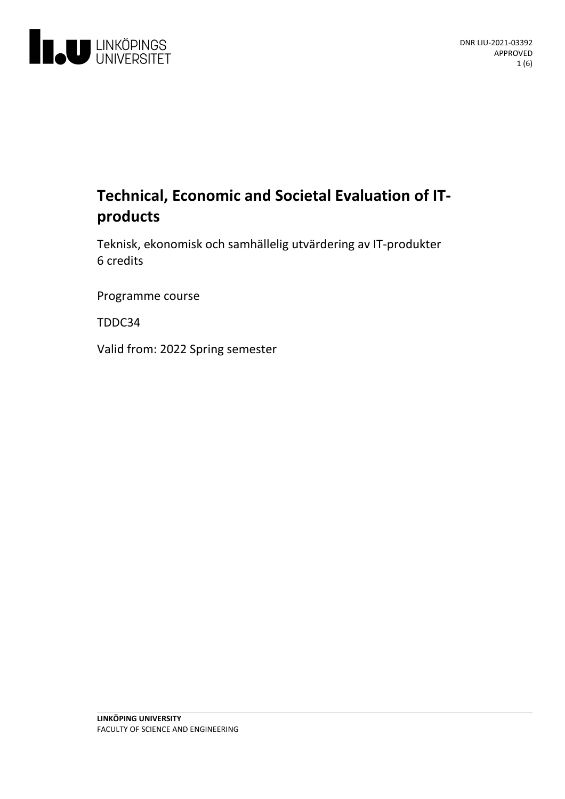

# **Technical, Economic and Societal Evaluation of IT-** products

Teknisk, ekonomisk och samhällelig utvärderingav IT-produkter 6 credits

Programme course

TDDC34

Valid from: 2022 Spring semester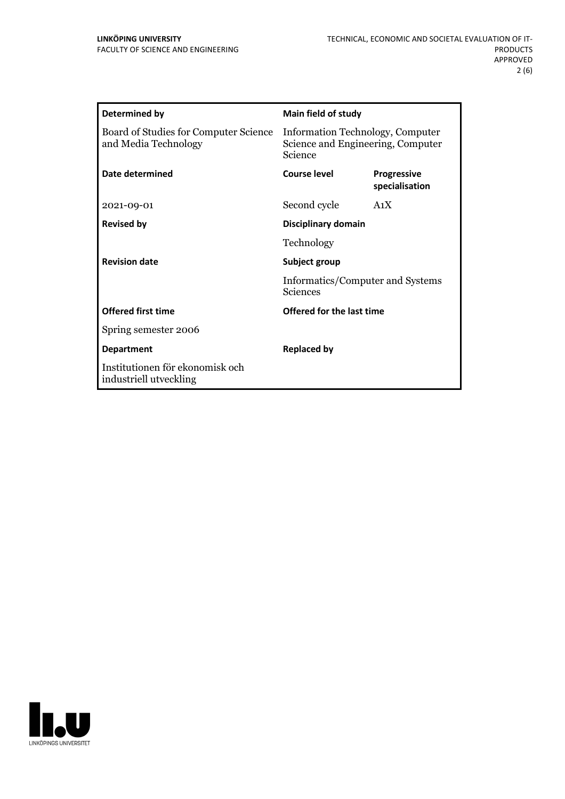| Determined by                                                 | Main field of study                                                              |                                      |
|---------------------------------------------------------------|----------------------------------------------------------------------------------|--------------------------------------|
| Board of Studies for Computer Science<br>and Media Technology | Information Technology, Computer<br>Science and Engineering, Computer<br>Science |                                      |
| Date determined                                               | Course level                                                                     | <b>Progressive</b><br>specialisation |
| 2021-09-01                                                    | Second cycle                                                                     | A <sub>1</sub> X                     |
| <b>Revised by</b>                                             | Disciplinary domain                                                              |                                      |
|                                                               | Technology                                                                       |                                      |
| <b>Revision date</b>                                          | Subject group<br>Informatics/Computer and Systems<br>Sciences                    |                                      |
|                                                               |                                                                                  |                                      |
| <b>Offered first time</b>                                     | Offered for the last time                                                        |                                      |
| Spring semester 2006                                          |                                                                                  |                                      |
| <b>Department</b>                                             | <b>Replaced by</b>                                                               |                                      |
| Institutionen för ekonomisk och<br>industriell utveckling     |                                                                                  |                                      |

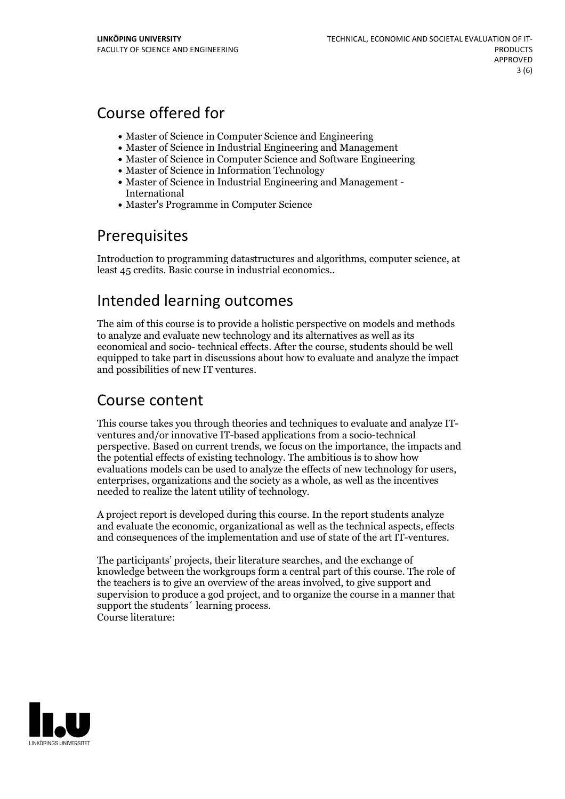# Course offered for

- Master of Science in Computer Science and Engineering
- Master of Science in Industrial Engineering and Management
- Master of Science in Computer Science and Software Engineering
- Master of Science in Information Technology
- Master of Science in Industrial Engineering and Management International
- Master's Programme in Computer Science

## Prerequisites

Introduction to programming datastructures and algorithms, computer science, at least 45 credits. Basic course in industrial economics..

## Intended learning outcomes

The aim of this course is to provide a holistic perspective on models and methods to analyze and evaluate new technology and its alternatives as well as its economical and socio- technical effects. After the course, students should be well equipped to take part in discussions about how to evaluate and analyze the impact and possibilities of new IT ventures.

## Course content

This course takes you through theories and techniques to evaluate and analyze IT- ventures and/or innovative IT-based applications from <sup>a</sup> socio-technical perspective. Based on current trends, we focus on the importance, the impacts and the potential effects of existing technology. The ambitious is to show how evaluations models can be used to analyze the effects of new technology for users, enterprises, organizations and the society as <sup>a</sup> whole, as well as the incentives needed to realize the latent utility of technology.

A project report is developed during this course. In the report students analyze and evaluate the economic, organizational as well as the technical aspects, effects and consequences of the implementation and use of state ofthe art IT-ventures.

The participants' projects, their literature searches, and the exchange of knowledge between the workgroups form a central part of this course. The role of the teachers is to give an overview of the areas involved, to give support and supervision to produce a god project, and to organize the course in a manner that support the students´ learning process. Course literature:

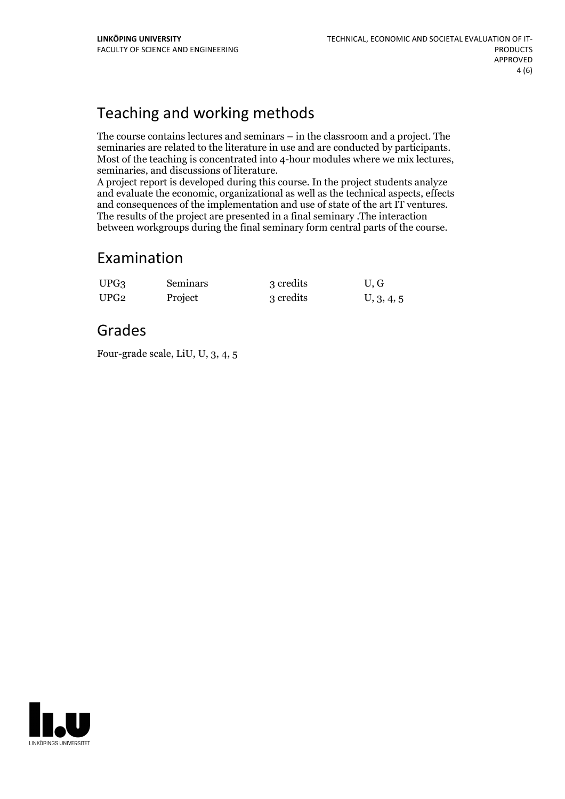# Teaching and working methods

The course contains lectures and seminars – in the classroom and a project. The seminaries are related to the literature in use and are conducted by participants.<br>Most of the teaching is concentrated into 4-hour modules where we mix lectures,<br>seminaries, and discussions of literature.<br>A project report

and evaluate the economic, organizational as well as the technical aspects, effects and consequences of the implementation and use of state of the art IT ventures. The results of the project are presented in a final seminary .The interaction between workgroups during the final seminary form central parts of the course.

#### Examination

| UPG <sub>3</sub> | Seminars | 3 credits | U, G       |
|------------------|----------|-----------|------------|
| UPG <sub>2</sub> | Project  | 3 credits | U, 3, 4, 5 |

#### Grades

Four-grade scale, LiU, U, 3, 4, 5

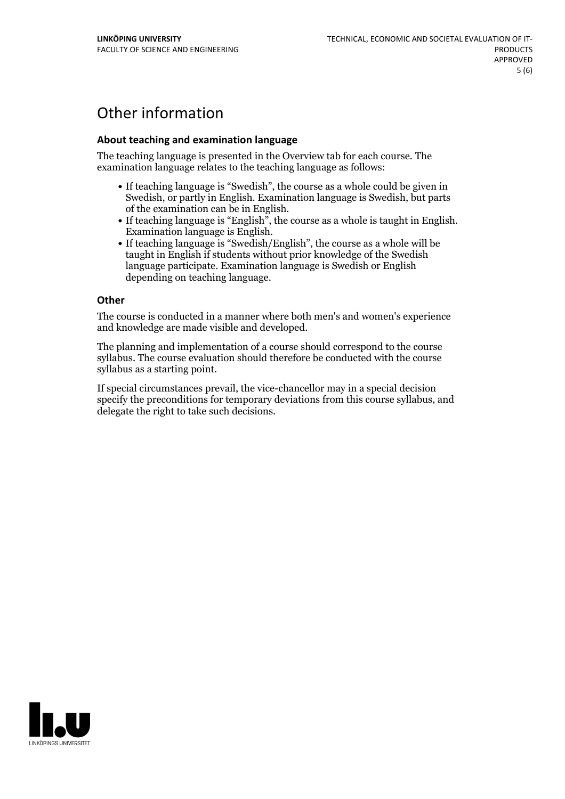# Other information

#### **About teaching and examination language**

The teaching language is presented in the Overview tab for each course. The examination language relates to the teaching language as follows:

- If teaching language is "Swedish", the course as a whole could be given in Swedish, or partly in English. Examination language is Swedish, but parts
- of the examination can be in English.<br>
If teaching language is "English", the course as a whole is taught in English.<br>
Examination language is English.<br>
If teaching language is "Swedish/English", the course as a whole will
- taught in English if students without prior knowledge of the Swedish language participate. Examination language is Swedish or English depending on teaching language.

#### **Other**

The course is conducted in a manner where both men's and women's experience and knowledge are made visible and developed.

The planning and implementation of a course should correspond to the course syllabus. The course evaluation should therefore be conducted with the course syllabus as a starting point.

If special circumstances prevail, the vice-chancellor may in a special decision specify the preconditions for temporary deviations from this course syllabus, and delegate the right to take such decisions.